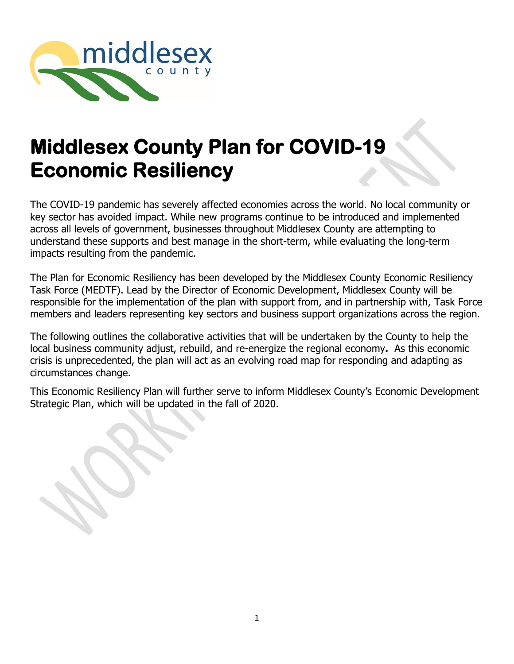

# **Middlesex County Plan for COVID-19 Economic Resiliency**

The COVID-19 pandemic has severely affected economies across the world. No local community or key sector has avoided impact. While new programs continue to be introduced and implemented across all levels of government, businesses throughout Middlesex County are attempting to understand these supports and best manage in the short-term, while evaluating the long-term impacts resulting from the pandemic.

The Plan for Economic Resiliency has been developed by the Middlesex County Economic Resiliency Task Force (MEDTF). Lead by the Director of Economic Development, Middlesex County will be responsible for the implementation of the plan with support from, and in partnership with, Task Force members and leaders representing key sectors and business support organizations across the region.

The following outlines the collaborative activities that will be undertaken by the County to help the local business community adjust, rebuild, and re-energize the regional economy**.** As this economic crisis is unprecedented, the plan will act as an evolving road map for responding and adapting as circumstances change.

This Economic Resiliency Plan will further serve to inform Middlesex County's Economic Development Strategic Plan, which will be updated in the fall of 2020.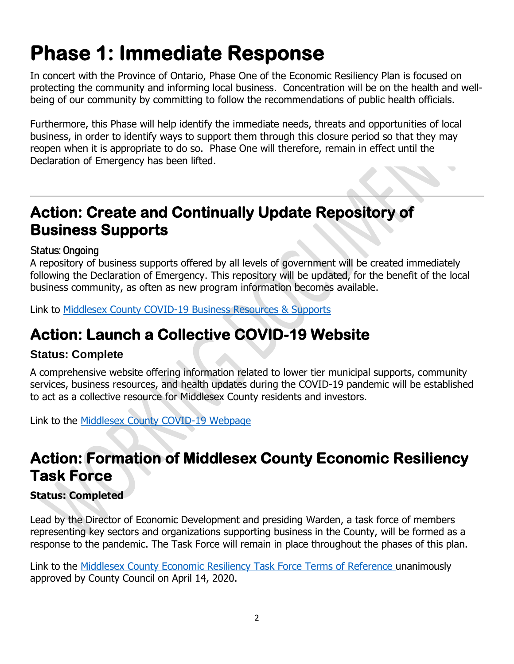# **Phase 1: Immediate Response**

In concert with the Province of Ontario, Phase One of the Economic Resiliency Plan is focused on protecting the community and informing local business. Concentration will be on the health and wellbeing of our community by committing to follow the recommendations of public health officials.

Furthermore, this Phase will help identify the immediate needs, threats and opportunities of local business, in order to identify ways to support them through this closure period so that they may reopen when it is appropriate to do so. Phase One will therefore, remain in effect until the Declaration of Emergency has been lifted.

# **Action: Create and Continually Update Repository of Business Supports**

### **Status: Ongoing**

A repository of business supports offered by all levels of government will be created immediately following the Declaration of Emergency. This repository will be updated, for the benefit of the local business community, as often as new program information becomes available.

Link to [Middlesex County COVID-19 Business Resources & Supports](https://investinmiddlesex.ca/covid-19-business-resources-and-supports)

# **Action: Launch a Collective COVID-19 Website**

### **Status: Complete**

A comprehensive website offering information related to lower tier municipal supports, community services, business resources, and health updates during the COVID-19 pandemic will be established to act as a collective resource for Middlesex County residents and investors.

Link to the Middlesex County [COVID-19](https://www.middlesex.ca/covid19) Webpage

# **Action: Formation of Middlesex County Economic Resiliency Task Force**

### **Status: Completed**

Lead by the Director of Economic Development and presiding Warden, a task force of members representing key sectors and organizations supporting business in the County, will be formed as a response to the pandemic. The Task Force will remain in place throughout the phases of this plan.

Link to the [Middlesex County Economic Resiliency Task Force Terms of Reference](https://www.middlesex.ca/sites/default/files/u454/TERMS%20OF%20REFERENCE%20FOR%20THE%20ECONOMIC%20RESILIENCY%20TASK%20FORCE-%20FINAL.pdf) unanimously approved by County Council on April 14, 2020.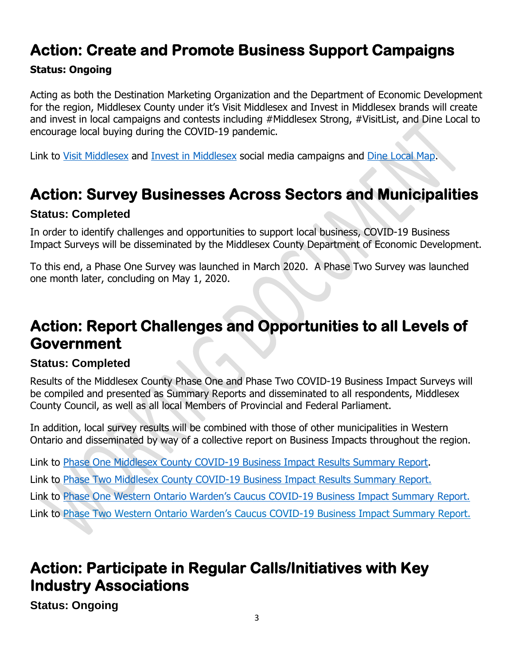## **Action: Create and Promote Business Support Campaigns**

#### **Status: Ongoing**

Acting as both the Destination Marketing Organization and the Department of Economic Development for the region, Middlesex County under it's Visit Middlesex and Invest in Middlesex brands will create and invest in local campaigns and contests including #Middlesex Strong, #VisitList, and Dine Local to encourage local buying during the COVID-19 pandemic.

Link to [Visit Middlesex](https://www.visitmiddlesex.ca/social-feed) and [Invest in Middlesex](https://www.investinmiddlesex.ca/social-feed) social media campaigns and [Dine Local Map.](https://www.visitmiddlesex.ca/dine/support-local)

### **Action: Survey Businesses Across Sectors and Municipalities**

#### **Status: Completed**

In order to identify challenges and opportunities to support local business, COVID-19 Business Impact Surveys will be disseminated by the Middlesex County Department of Economic Development.

To this end, a Phase One Survey was launched in March 2020. A Phase Two Survey was launched one month later, concluding on May 1, 2020.

## **Action: Report Challenges and Opportunities to all Levels of Government**

#### **Status: Completed**

Results of the Middlesex County Phase One and Phase Two COVID-19 Business Impact Surveys will be compiled and presented as Summary Reports and disseminated to all respondents, Middlesex County Council, as well as all local Members of Provincial and Federal Parliament.

In addition, local survey results will be combined with those of other municipalities in Western Ontario and disseminated by way of a collective report on Business Impacts throughout the region.

Link to [Phase One Middlesex County COVID-19 Business Impact Results Summary Report.](https://www.investinmiddlesex.ca/sites/default/files/editor_images/Phase%20One%20Middlesex%20County%20COVID19%20Business%20Impact%20Survey%20Report.pdf) Link to [Phase Two Middlesex County COVID-19 Business Impact Results Summary Report.](https://www.investinmiddlesex.ca/sites/default/files/editor_images/Phase%202%20COVID-19%20Business%20Survey%20Analysis.pdf) Link to [Phase One Western Ontario Warden's Caucus COVID](https://wowc.ca/sites/default/files/inline-files/WOWC%20Impacts%20of%20COVID-19%20Pandemic%20on%20Businesses%20Report%20FINAL.pdf)-19 Business Impact Summary Report. Link to Phase Two Western Ontario Warden's Caucus COVID[-19 Business Impact Summary Report.](https://wowc.ca/node/48)

### **Action: Participate in Regular Calls/Initiatives with Key Industry Associations**

**Status: Ongoing**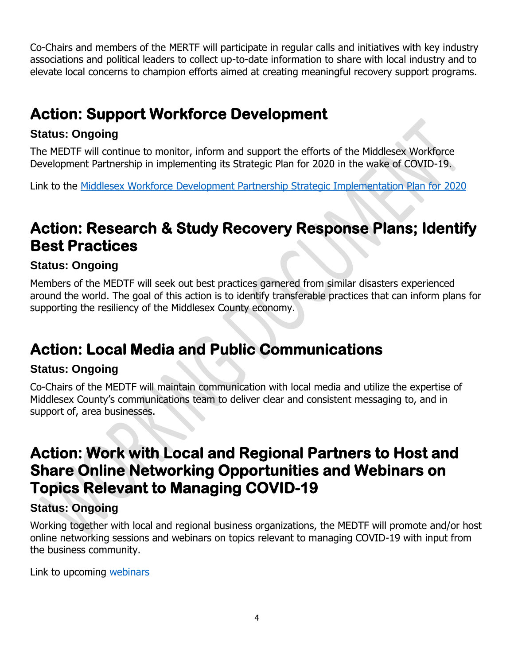Co-Chairs and members of the MERTF will participate in regular calls and initiatives with key industry associations and political leaders to collect up-to-date information to share with local industry and to elevate local concerns to champion efforts aimed at creating meaningful recovery support programs.

# **Action: Support Workforce Development**

#### **Status: Ongoing**

The MEDTF will continue to monitor, inform and support the efforts of the Middlesex Workforce Development Partnership in implementing its Strategic Plan for 2020 in the wake of COVID-19.

Link to the [Middlesex Workforce Development Partnership Strategic Implementation Plan for](https://www.investinmiddlesex.ca/sites/default/files/editor_images/MWDP%202018%20to%202020%20Strategic%20Plan%20-%202020%20Work%20Plan%20-%20FINAL.pdf) 2020

# **Action: Research & Study Recovery Response Plans; Identify Best Practices**

### **Status: Ongoing**

Members of the MEDTF will seek out best practices garnered from similar disasters experienced around the world. The goal of this action is to identify transferable practices that can inform plans for supporting the resiliency of the Middlesex County economy.

## **Action: Local Media and Public Communications**

### **Status: Ongoing**

Co-Chairs of the MEDTF will maintain communication with local media and utilize the expertise of Middlesex County's communications team to deliver clear and consistent messaging to, and in support of, area businesses.

### **Action: Work with Local and Regional Partners to Host and Share Online Networking Opportunities and Webinars on Topics Relevant to Managing COVID-19**

### **Status: Ongoing**

Working together with local and regional business organizations, the MEDTF will promote and/or host online networking sessions and webinars on topics relevant to managing COVID-19 with input from the business community.

Link to upcoming [webinars](https://www.facebook.com/investinmiddlesex)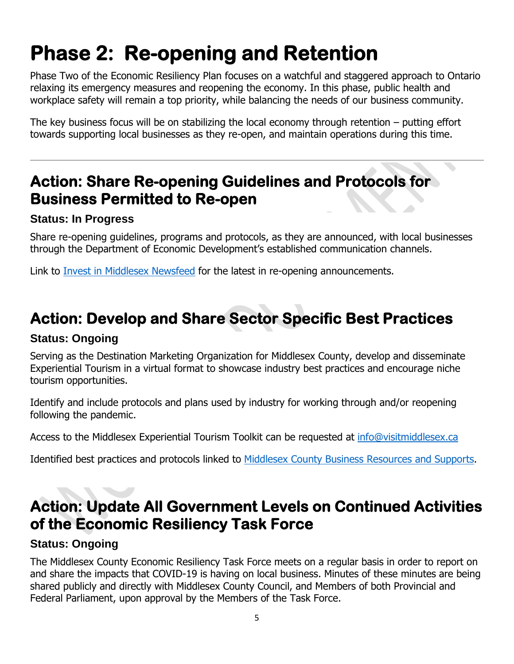# **Phase 2: Re-opening and Retention**

Phase Two of the Economic Resiliency Plan focuses on a watchful and staggered approach to Ontario relaxing its emergency measures and reopening the economy. In this phase, public health and workplace safety will remain a top priority, while balancing the needs of our business community.

The key business focus will be on stabilizing the local economy through retention – putting effort towards supporting local businesses as they re-open, and maintain operations during this time.

### **Action: Share Re-opening Guidelines and Protocols for Business Permitted to Re-open**

#### **Status: In Progress**

Share re-opening guidelines, programs and protocols, as they are announced, with local businesses through the Department of Economic Development's established communication channels.

Link to [Invest in Middlesex Newsfeed](https://www.investinmiddlesex.ca/social-feed) for the latest in re-opening announcements.

## **Action: Develop and Share Sector Specific Best Practices**

#### **Status: Ongoing**

Serving as the Destination Marketing Organization for Middlesex County, develop and disseminate Experiential Tourism in a virtual format to showcase industry best practices and encourage niche tourism opportunities.

Identify and include protocols and plans used by industry for working through and/or reopening following the pandemic.

Access to the Middlesex Experiential Tourism Toolkit can be requested at [info@visitmiddlesex.ca](mailto:info@visitmiddlesex.ca)

Identified best practices and protocols linked to [Middlesex County Business Resources and Supports.](https://investinmiddlesex.ca/covid-19-business-resources-and-supports)

## **Action: Update All Government Levels on Continued Activities of the Economic Resiliency Task Force**

#### **Status: Ongoing**

The Middlesex County Economic Resiliency Task Force meets on a regular basis in order to report on and share the impacts that COVID-19 is having on local business. Minutes of these minutes are being shared publicly and directly with Middlesex County Council, and Members of both Provincial and Federal Parliament, upon approval by the Members of the Task Force.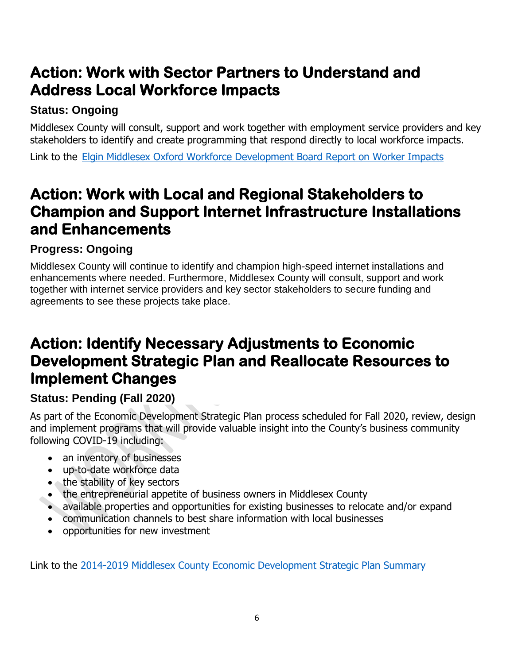# **Action: Work with Sector Partners to Understand and Address Local Workforce Impacts**

### **Status: Ongoing**

Middlesex County will consult, support and work together with employment service providers and key stakeholders to identify and create programming that respond directly to local workforce impacts.

Link to the [Elgin Middlesex Oxford Workforce Development Board Report on Worker Impacts](https://datastudio.google.com/u/0/reporting/ff9a604d-5b6b-436c-a893-0164eae348bc/page/ng76)

## **Action: Work with Local and Regional Stakeholders to Champion and Support Internet Infrastructure Installations and Enhancements**

### **Progress: Ongoing**

Middlesex County will continue to identify and champion high-speed internet installations and enhancements where needed. Furthermore, Middlesex County will consult, support and work together with internet service providers and key sector stakeholders to secure funding and agreements to see these projects take place.

### **Action: Identify Necessary Adjustments to Economic Development Strategic Plan and Reallocate Resources to Implement Changes**

### **Status: Pending (Fall 2020)**

As part of the Economic Development Strategic Plan process scheduled for Fall 2020, review, design and implement programs that will provide valuable insight into the County's business community following COVID-19 including:

- an inventory of businesses
- up-to-date workforce data
- the stability of key sectors
- the entrepreneurial appetite of business owners in Middlesex County
- available properties and opportunities for existing businesses to relocate and/or expand
- communication channels to best share information with local businesses
- opportunities for new investment

Link to the [2014-2019 Middlesex County Economic Development Strategic Plan Summary](https://www.investinmiddlesex.ca/sites/default/files/Ec_Dev_Strat_Plan_Summary.pdf)